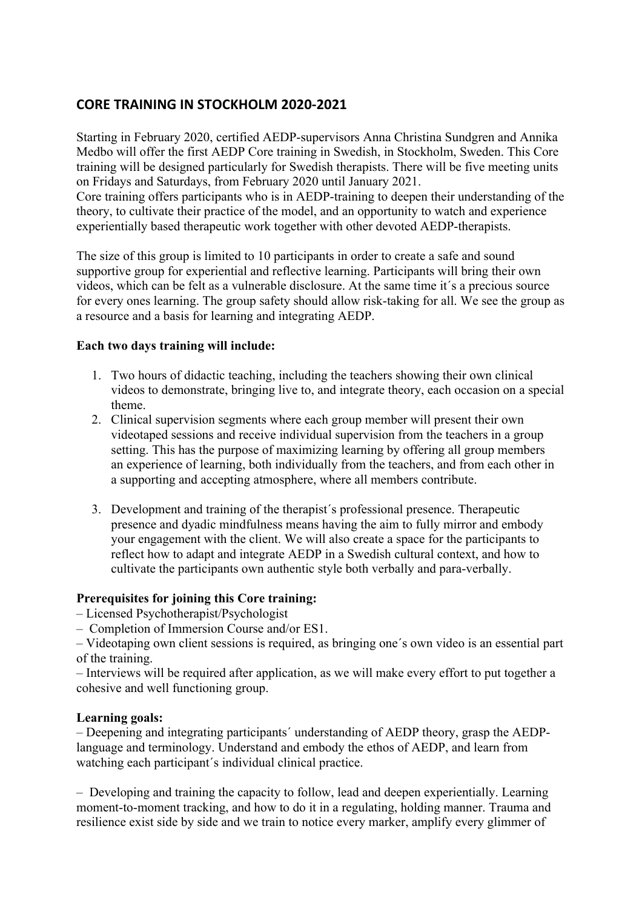# **CORE TRAINING IN STOCKHOLM 2020-2021**

Starting in February 2020, certified AEDP-supervisors Anna Christina Sundgren and Annika Medbo will offer the first AEDP Core training in Swedish, in Stockholm, Sweden. This Core training will be designed particularly for Swedish therapists. There will be five meeting units on Fridays and Saturdays, from February 2020 until January 2021.

Core training offers participants who is in AEDP-training to deepen their understanding of the theory, to cultivate their practice of the model, and an opportunity to watch and experience experientially based therapeutic work together with other devoted AEDP-therapists.

The size of this group is limited to 10 participants in order to create a safe and sound supportive group for experiential and reflective learning. Participants will bring their own videos, which can be felt as a vulnerable disclosure. At the same time it´s a precious source for every ones learning. The group safety should allow risk-taking for all. We see the group as a resource and a basis for learning and integrating AEDP.

### **Each two days training will include:**

- 1. Two hours of didactic teaching, including the teachers showing their own clinical videos to demonstrate, bringing live to, and integrate theory, each occasion on a special theme.
- 2. Clinical supervision segments where each group member will present their own videotaped sessions and receive individual supervision from the teachers in a group setting. This has the purpose of maximizing learning by offering all group members an experience of learning, both individually from the teachers, and from each other in a supporting and accepting atmosphere, where all members contribute.
- 3. Development and training of the therapist´s professional presence. Therapeutic presence and dyadic mindfulness means having the aim to fully mirror and embody your engagement with the client. We will also create a space for the participants to reflect how to adapt and integrate AEDP in a Swedish cultural context, and how to cultivate the participants own authentic style both verbally and para-verbally.

## **Prerequisites for joining this Core training:**

– Licensed Psychotherapist/Psychologist

– Completion of Immersion Course and/or ES1.

– Videotaping own client sessions is required, as bringing one´s own video is an essential part of the training.

– Interviews will be required after application, as we will make every effort to put together a cohesive and well functioning group.

#### **Learning goals:**

– Deepening and integrating participants´ understanding of AEDP theory, grasp the AEDPlanguage and terminology. Understand and embody the ethos of AEDP, and learn from watching each participant´s individual clinical practice.

– Developing and training the capacity to follow, lead and deepen experientially. Learning moment-to-moment tracking, and how to do it in a regulating, holding manner. Trauma and resilience exist side by side and we train to notice every marker, amplify every glimmer of